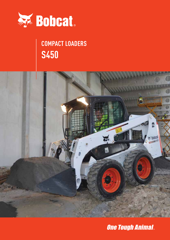

# **S450 COMPACT LOADERS**



**One Tough Animal.**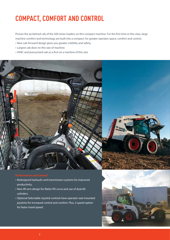### **COMPACT, COMFORT AND CONTROL**

Picture the acclaimed cab of the 500 series loaders on this compact machine. For the first time in this class, large machine comfort and technology are built into a compact: for greater operator space, comfort and control.

- New cab-forward design gives you greater visibility and safety.
- Largest cab door on this size of machine.
- HVAC and pressurized cab as a first on a machine of this size.



- Redesigned hydraulic and transmission systems for improved productivity.
- New lift arm design for flatter lift curve and use of dual tilt cylinders.
- Optional Selectable Joystick controls have operator seat mounted joysticks for increased control and comfort. Plus, 2-speed option for faster travel speed.

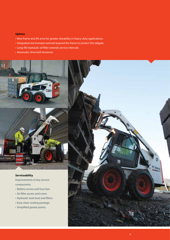#### **Uptime**

- New frame and lift arms for greater durability in heavy-duty applications.
- Integrated rear bumper extends beyond the frame to protect the tailgate.
- Long-life hydraulic oil filter extends service intervals.
- Automatic drive belt tensioner.